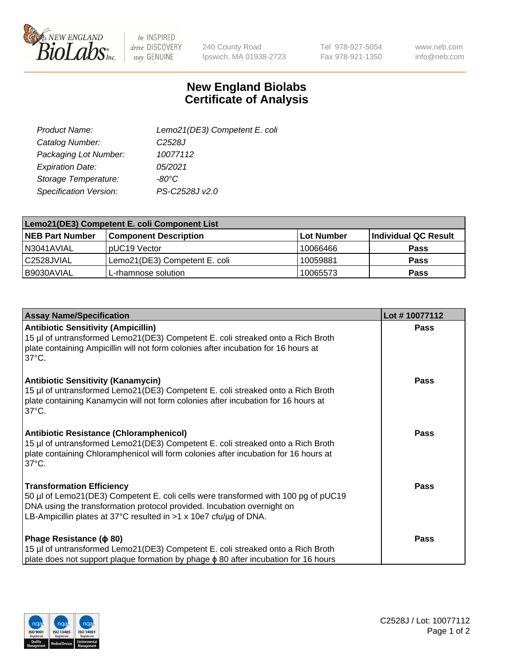

 $be$  INSPIRED drive DISCOVERY stay GENUINE

240 County Road Ipswich, MA 01938-2723 Tel 978-927-5054 Fax 978-921-1350

www.neb.com info@neb.com

## **New England Biolabs Certificate of Analysis**

| Lemo21(DE3) Competent E. coli |
|-------------------------------|
| C <sub>2528</sub> J           |
| 10077112                      |
| 05/2021                       |
| $-80^{\circ}$ C               |
| PS-C2528J v2.0                |
|                               |

| Lemo21(DE3) Competent E. coli Component List |                               |                   |                      |  |
|----------------------------------------------|-------------------------------|-------------------|----------------------|--|
| <b>NEB Part Number</b>                       | <b>Component Description</b>  | <b>Lot Number</b> | Individual QC Result |  |
| I N3041AVIAL                                 | IpUC19 Vector                 | 10066466          | Pass                 |  |
| C2528JVIAL                                   | Lemo21(DE3) Competent E. coli | 10059881          | <b>Pass</b>          |  |
| B9030AVIAL                                   | L-rhamnose solution           | 10065573          | <b>Pass</b>          |  |

| <b>Assay Name/Specification</b>                                                                                                                                                                                                                                               | Lot #10077112 |
|-------------------------------------------------------------------------------------------------------------------------------------------------------------------------------------------------------------------------------------------------------------------------------|---------------|
| <b>Antibiotic Sensitivity (Ampicillin)</b><br>15 µl of untransformed Lemo21(DE3) Competent E. coli streaked onto a Rich Broth<br>plate containing Ampicillin will not form colonies after incubation for 16 hours at<br>$37^{\circ}$ C.                                       | Pass          |
| <b>Antibiotic Sensitivity (Kanamycin)</b><br>15 µl of untransformed Lemo21(DE3) Competent E. coli streaked onto a Rich Broth<br>plate containing Kanamycin will not form colonies after incubation for 16 hours at<br>$37^{\circ}$ C.                                         | Pass          |
| <b>Antibiotic Resistance (Chloramphenicol)</b><br>15 µl of untransformed Lemo21(DE3) Competent E. coli streaked onto a Rich Broth<br>plate containing Chloramphenicol will form colonies after incubation for 16 hours at<br>$37^{\circ}$ C.                                  | <b>Pass</b>   |
| <b>Transformation Efficiency</b><br>50 µl of Lemo21(DE3) Competent E. coli cells were transformed with 100 pg of pUC19<br>DNA using the transformation protocol provided. Incubation overnight on<br>LB-Ampicillin plates at 37°C resulted in $>1 \times 10e7$ cfu/ug of DNA. | <b>Pass</b>   |
| Phage Resistance ( $\phi$ 80)<br>15 µl of untransformed Lemo21(DE3) Competent E. coli streaked onto a Rich Broth<br>plate does not support plaque formation by phage φ 80 after incubation for 16 hours                                                                       | <b>Pass</b>   |